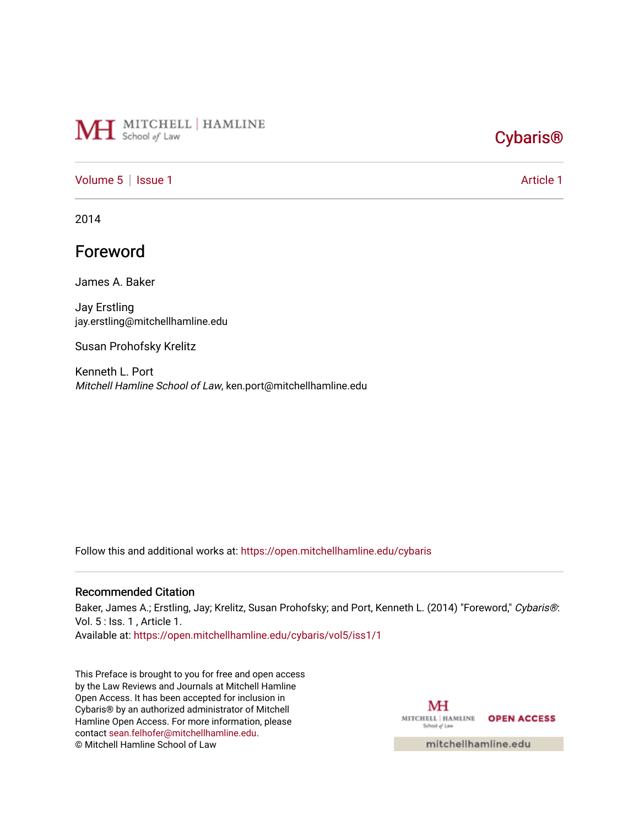# MH School of Law

## [Cybaris®](https://open.mitchellhamline.edu/cybaris)

### [Volume 5](https://open.mitchellhamline.edu/cybaris/vol5) | [Issue 1](https://open.mitchellhamline.edu/cybaris/vol5/iss1) Article 1

2014

### Foreword

James A. Baker

Jay Erstling jay.erstling@mitchellhamline.edu

Susan Prohofsky Krelitz

Kenneth L. Port Mitchell Hamline School of Law, ken.port@mitchellhamline.edu

Follow this and additional works at: [https://open.mitchellhamline.edu/cybaris](https://open.mitchellhamline.edu/cybaris?utm_source=open.mitchellhamline.edu%2Fcybaris%2Fvol5%2Fiss1%2F1&utm_medium=PDF&utm_campaign=PDFCoverPages) 

#### Recommended Citation

Baker, James A.; Erstling, Jay; Krelitz, Susan Prohofsky; and Port, Kenneth L. (2014) "Foreword," Cybaris®: Vol. 5 : Iss. 1 , Article 1.

Available at: [https://open.mitchellhamline.edu/cybaris/vol5/iss1/1](https://open.mitchellhamline.edu/cybaris/vol5/iss1/1?utm_source=open.mitchellhamline.edu%2Fcybaris%2Fvol5%2Fiss1%2F1&utm_medium=PDF&utm_campaign=PDFCoverPages)

This Preface is brought to you for free and open access by the Law Reviews and Journals at Mitchell Hamline Open Access. It has been accepted for inclusion in Cybaris® by an authorized administrator of Mitchell Hamline Open Access. For more information, please contact [sean.felhofer@mitchellhamline.edu.](mailto:sean.felhofer@mitchellhamline.edu) © Mitchell Hamline School of Law

MH MITCHELL | HAMLINE OPEN ACCESS School of Law

mitchellhamline.edu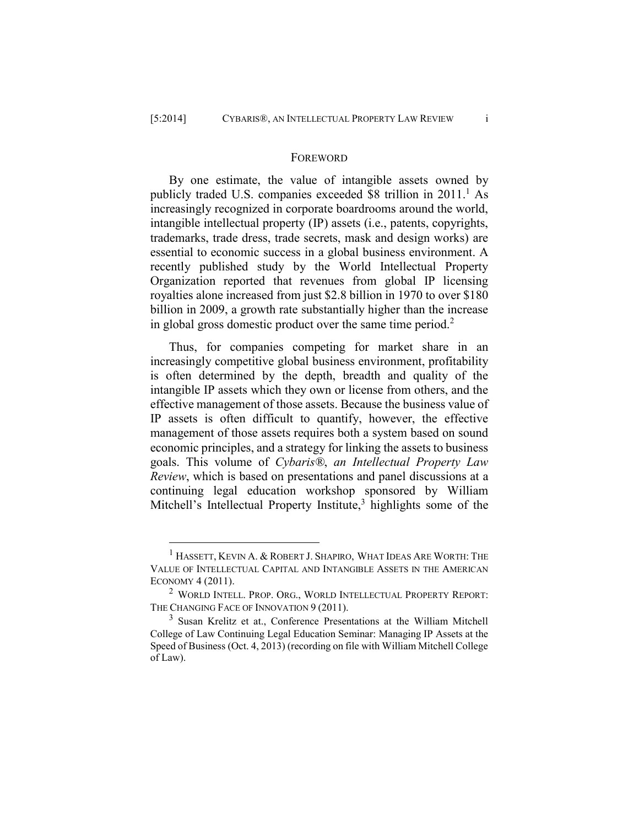$\overline{a}$ 

#### **FOREWORD**

By one estimate, the value of intangible assets owned by publicly traded U.S. companies exceeded  $$8$  trillion in 2011.<sup>1</sup> As increasingly recognized in corporate boardrooms around the world, intangible intellectual property (IP) assets (i.e., patents, copyrights, trademarks, trade dress, trade secrets, mask and design works) are essential to economic success in a global business environment. A recently published study by the World Intellectual Property Organization reported that revenues from global IP licensing royalties alone increased from just \$2.8 billion in 1970 to over \$180 billion in 2009, a growth rate substantially higher than the increase in global gross domestic product over the same time period.<sup>2</sup>

Thus, for companies competing for market share in an increasingly competitive global business environment, profitability is often determined by the depth, breadth and quality of the intangible IP assets which they own or license from others, and the effective management of those assets. Because the business value of IP assets is often difficult to quantify, however, the effective management of those assets requires both a system based on sound economic principles, and a strategy for linking the assets to business goals. This volume of *Cybaris®*, *an Intellectual Property Law Review*, which is based on presentations and panel discussions at a continuing legal education workshop sponsored by William Mitchell's Intellectual Property Institute,<sup>3</sup> highlights some of the

 $^1$  Hassett, Kevin A. & Robert J. Shapiro, What Ideas Are Worth: The VALUE OF INTELLECTUAL CAPITAL AND INTANGIBLE ASSETS IN THE AMERICAN ECONOMY 4 (2011).

<sup>2</sup> WORLD INTELL. PROP. ORG., WORLD INTELLECTUAL PROPERTY REPORT: THE CHANGING FACE OF INNOVATION 9 (2011).

<sup>&</sup>lt;sup>3</sup> Susan Krelitz et at., Conference Presentations at the William Mitchell College of Law Continuing Legal Education Seminar: Managing IP Assets at the Speed of Business (Oct. 4, 2013) (recording on file with William Mitchell College of Law).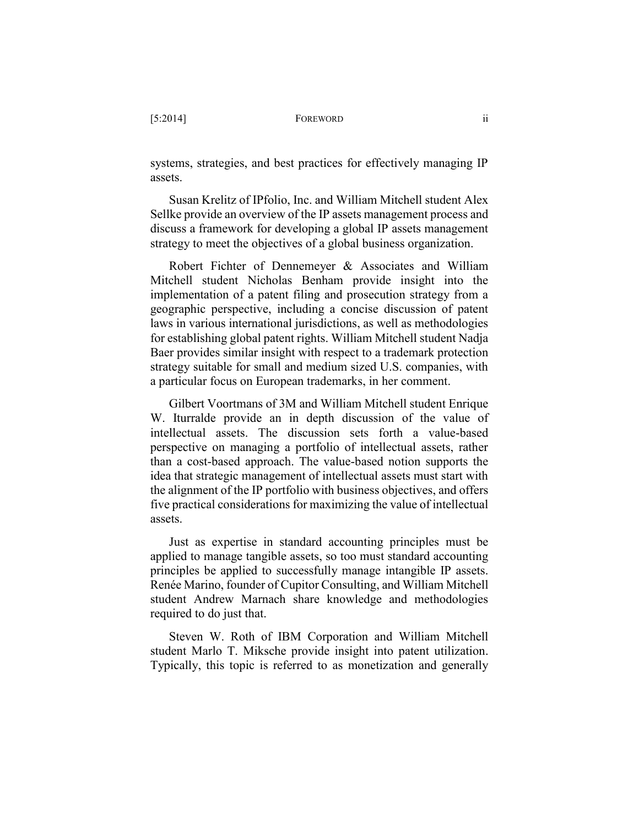systems, strategies, and best practices for effectively managing IP assets.

Susan Krelitz of IPfolio, Inc. and William Mitchell student Alex Sellke provide an overview of the IP assets management process and discuss a framework for developing a global IP assets management strategy to meet the objectives of a global business organization.

Robert Fichter of Dennemeyer & Associates and William Mitchell student Nicholas Benham provide insight into the implementation of a patent filing and prosecution strategy from a geographic perspective, including a concise discussion of patent laws in various international jurisdictions, as well as methodologies for establishing global patent rights. William Mitchell student Nadja Baer provides similar insight with respect to a trademark protection strategy suitable for small and medium sized U.S. companies, with a particular focus on European trademarks, in her comment.

Gilbert Voortmans of 3M and William Mitchell student Enrique W. Iturralde provide an in depth discussion of the value of intellectual assets. The discussion sets forth a value-based perspective on managing a portfolio of intellectual assets, rather than a cost-based approach. The value-based notion supports the idea that strategic management of intellectual assets must start with the alignment of the IP portfolio with business objectives, and offers five practical considerations for maximizing the value of intellectual assets.

Just as expertise in standard accounting principles must be applied to manage tangible assets, so too must standard accounting principles be applied to successfully manage intangible IP assets. Renée Marino, founder of Cupitor Consulting, and William Mitchell student Andrew Marnach share knowledge and methodologies required to do just that.

Steven W. Roth of IBM Corporation and William Mitchell student Marlo T. Miksche provide insight into patent utilization. Typically, this topic is referred to as monetization and generally